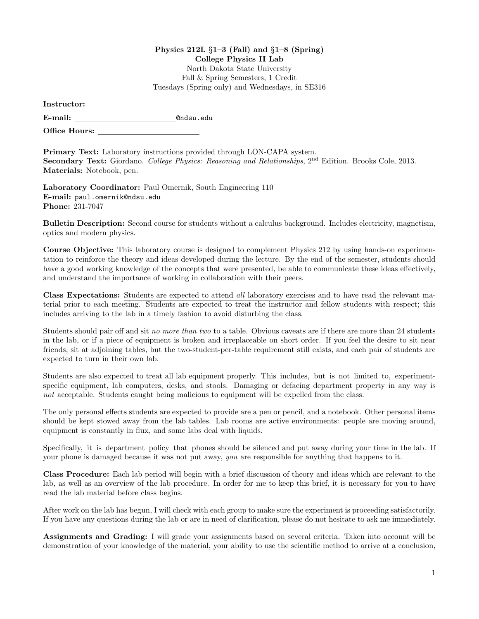## Physics  $212L \S1-3$  (Fall) and  $\S1-8$  (Spring) College Physics II Lab North Dakota State University Fall & Spring Semesters, 1 Credit Tuesdays (Spring only) and Wednesdays, in SE316

| Instructor: |  |
|-------------|--|
|             |  |

E-mail: @ndsu.edu

Office Hours:

Primary Text: Laboratory instructions provided through LON-CAPA system. Secondary Text: Giordano. College Physics: Reasoning and Relationships, 2<sup>nd</sup> Edition. Brooks Cole, 2013. Materials: Notebook, pen.

Laboratory Coordinator: Paul Omernik, South Engineering 110 E-mail: paul.omernik@ndsu.edu Phone: 231-7047

Bulletin Description: Second course for students without a calculus background. Includes electricity, magnetism, optics and modern physics.

Course Objective: This laboratory course is designed to complement Physics 212 by using hands-on experimentation to reinforce the theory and ideas developed during the lecture. By the end of the semester, students should have a good working knowledge of the concepts that were presented, be able to communicate these ideas effectively, and understand the importance of working in collaboration with their peers.

Class Expectations: Students are expected to attend all laboratory exercises and to have read the relevant material prior to each meeting. Students are expected to treat the instructor and fellow students with respect; this includes arriving to the lab in a timely fashion to avoid disturbing the class.

Students should pair off and sit no more than two to a table. Obvious caveats are if there are more than 24 students in the lab, or if a piece of equipment is broken and irreplaceable on short order. If you feel the desire to sit near friends, sit at adjoining tables, but the two-student-per-table requirement still exists, and each pair of students are expected to turn in their own lab.

Students are also expected to treat all lab equipment properly. This includes, but is not limited to, experimentspecific equipment, lab computers, desks, and stools. Damaging or defacing department property in any way is not acceptable. Students caught being malicious to equipment will be expelled from the class.

The only personal effects students are expected to provide are a pen or pencil, and a notebook. Other personal items should be kept stowed away from the lab tables. Lab rooms are active environments: people are moving around, equipment is constantly in flux, and some labs deal with liquids.

Specifically, it is department policy that phones should be silenced and put away during your time in the lab. If your phone is damaged because it was not put away, you are responsible for anything that happens to it.

Class Procedure: Each lab period will begin with a brief discussion of theory and ideas which are relevant to the lab, as well as an overview of the lab procedure. In order for me to keep this brief, it is necessary for you to have read the lab material before class begins.

After work on the lab has begun, I will check with each group to make sure the experiment is proceeding satisfactorily. If you have any questions during the lab or are in need of clarification, please do not hesitate to ask me immediately.

Assignments and Grading: I will grade your assignments based on several criteria. Taken into account will be demonstration of your knowledge of the material, your ability to use the scientific method to arrive at a conclusion,